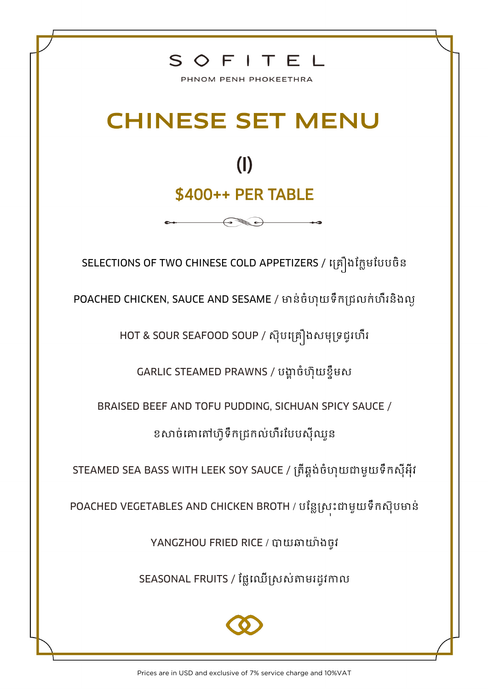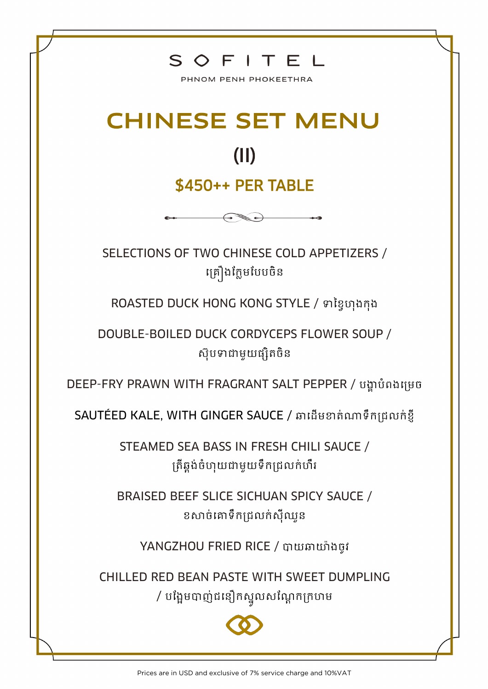

PHNOM PENH PHOKEETHRA

## CHINESE SET MENU

## (II)

## \$450++ PER TABLE

 $\leftrightarrow$ 

SELECTIONS OF TWO CHINESE COLD APPETIZERS / គ្រឿងក្លែមបែបចិន

ROASTED DUCK HONG KONG STYLE / ទាខ្ទៃហុងកុង

DOUBLE-BOILED DUCK CORDYCEPS FLOWER SOUP / ស៊ុបទាជាមួយផ្សិតចិន

DEEP-FRY PRAWN WITH FRAGRANT SALT PEPPER / បង្គាប់ំពងគ្រេច

SAUTÉED KALE, WITH GINGER SAUCE / ឆាដើមខាត់ណាទឹកជ្រលក់ខ្ញី

STEAMED SEA BASS IN FRESH CHILI SAUCE / គ្រើឆ្លង់ចំហុយជាមួយទឹកជ្រលក់ហឹរ

BRAISED BEEF SLICE SICHUAN SPICY SAUCE / ខសាច់គោទឹកជ្រលក់ស៊ីឈួន

YANGZHOU FRIED RICE / បាយឆាយ៉ាងចូវ

CHILLED RED BEAN PASTE WITH SWEET DUMPLING / បង្អែមបាញ់ជនឿកស្នួលសណ្តែកក្រហម

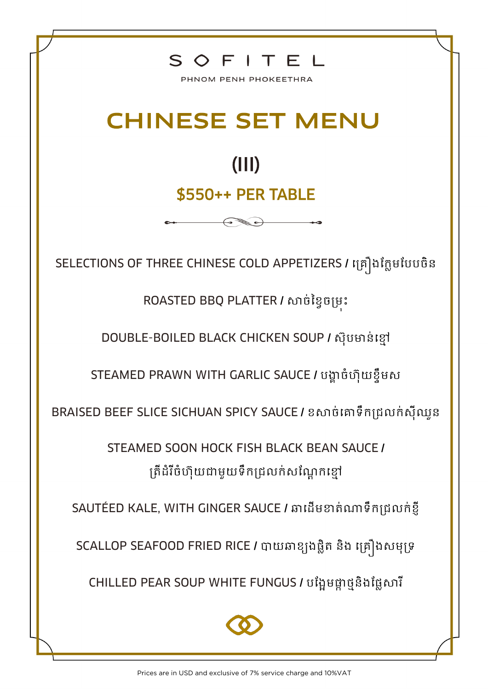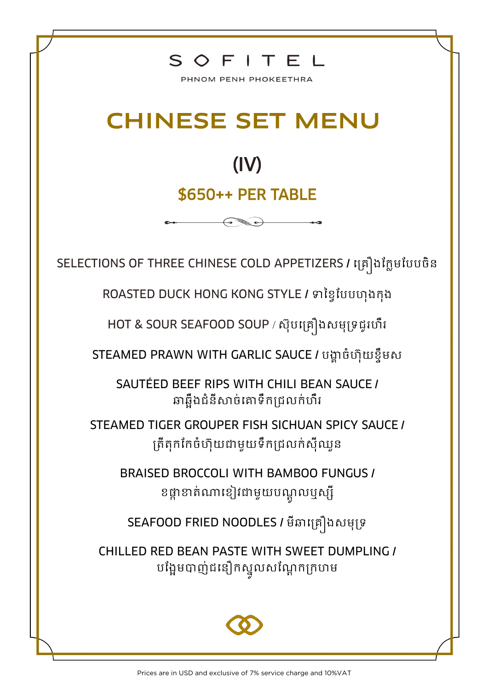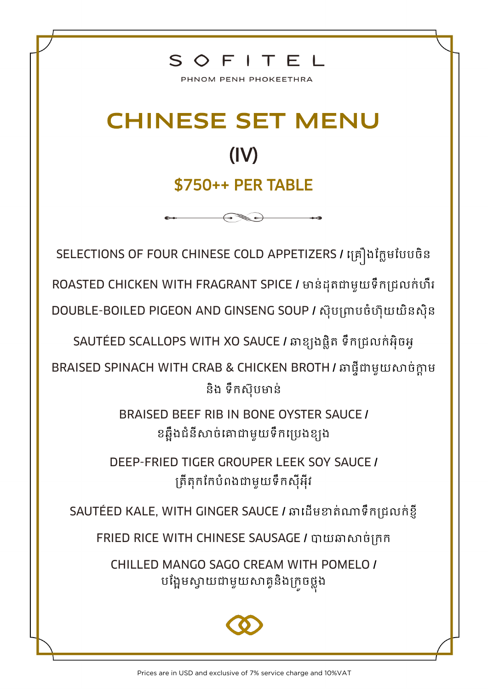

PHNOM PENH PHOKEETHRA

## CHINESE SET MENU (IV) \$750++ PER TABLE

SELECTIONS OF FOUR CHINESE COLD APPETIZERS **/** គ្រឿងក្លែមក្ែែចិន ROASTED CHICKEN WITH FRAGRANT SPICE / មាន់ដុតជាមួយទឹកជ្រលក់ហឺរ DOUBLE-BOILED PIGEON AND GINSENG SOUP **/** ស ុែ្ាែចំហ ុយយិនសុិន

SAUTÉED SCALLOPS WITH XO SAUCE **/** ឆាខ្យងលែិរ ទឹល្រលល់អុិចអូ

BRAISED SPINACH WITH CRAB & CHICKEN BROTH **/** ឆាលទ៊ីជាមួយសាច់កាែ ម និង ទឹកស៊ុបមាន់

> BRAISED BEEF RIB IN BONE OYSTER SAUCE **/**  ខឆ្អឹងជំនីសាច់គោជាមួយទឹកប្រេងខ្យង

DEEP-FRIED TIGER GROUPER LEEK SOY SAUCE **/**  ្រ៊ីរុលក្លែំពងជាមួយទឹលសុ៊ីអុ៊ីវ

SAUTÉED KALE, WITH GINGER SAUCE / ឆាដើមខាត់ណាទឹកជ្រលក់ខ្ញី

FRIED RICE WITH CHINESE SAUSAGE **/** បាយឆាសាច់្លល

CHILLED MANGO SAGO CREAM WITH POMELO **/**  បង្អែមស្វាយជាមួយសាគ្<mark>វ</mark>និងក្រូចថ្លុង